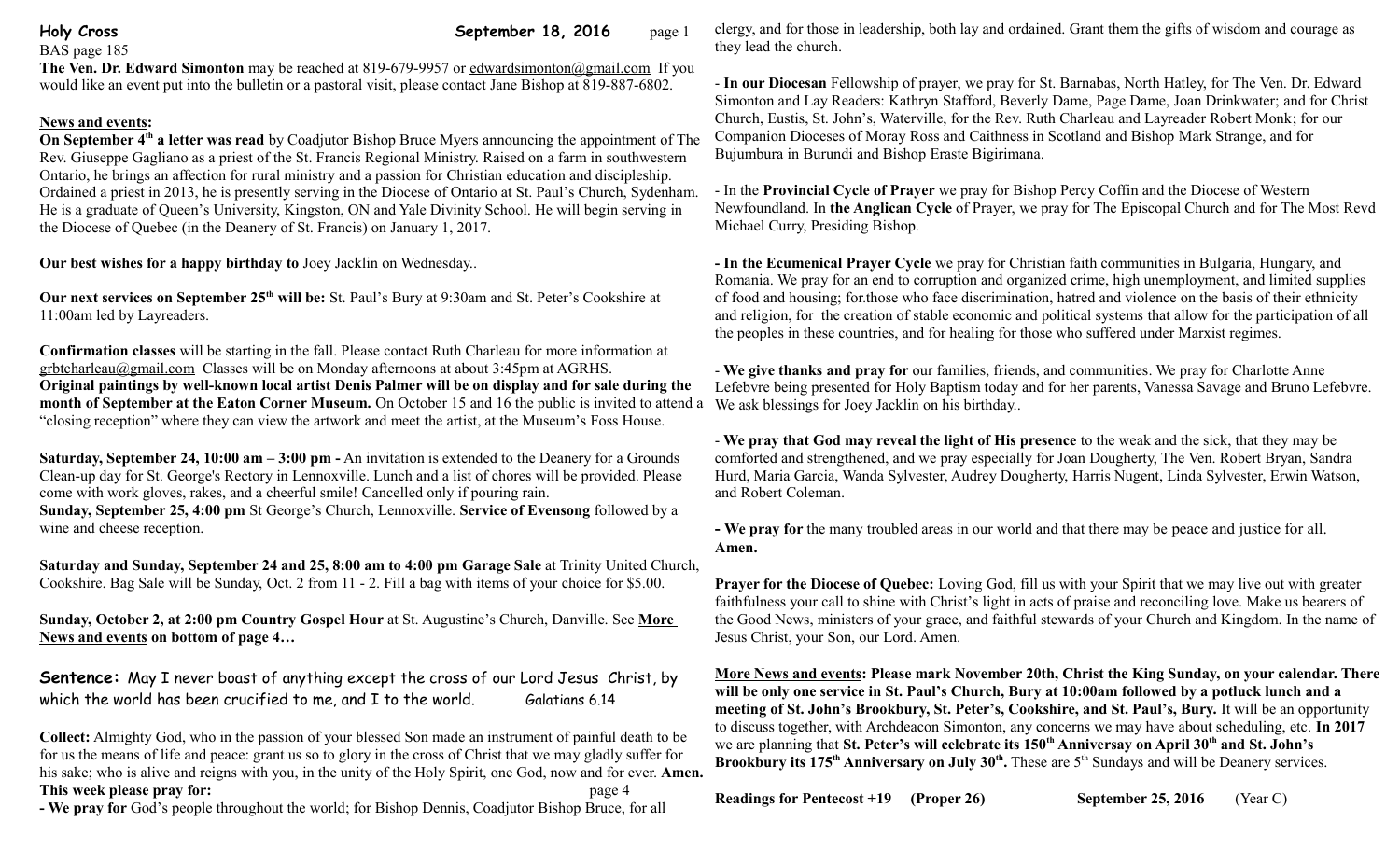## BAS page 185

## **Holy Cross September 18, 2016** page 1

**The Ven. Dr. Edward Simonton** may be reached at 819-679-9957 or edwardsimonton@gmail.com If you would like an event put into the bulletin or a pastoral visit, please contact Jane Bishop at 819-887-6802.

## **News and events:**

**On September 4th a letter was read** by Coadjutor Bishop Bruce Myers announcing the appointment of The Rev. Giuseppe Gagliano as a priest of the St. Francis Regional Ministry. Raised on a farm in southwestern Ontario, he brings an affection for rural ministry and a passion for Christian education and discipleship. Ordained a priest in 2013, he is presently serving in the Diocese of Ontario at St. Paul's Church, Sydenham. He is a graduate of Queen's University, Kingston, ON and Yale Divinity School. He will begin serving in the Diocese of Quebec (in the Deanery of St. Francis) on January 1, 2017.

**Our best wishes for a happy birthday to** Joey Jacklin on Wednesday..

**Our next services on September 25th will be:** St. Paul's Bury at 9:30am and St. Peter's Cookshire at 11:00am led by Layreaders.

**Confirmation classes** will be starting in the fall. Please contact Ruth Charleau for more information at grbtcharleau@gmail.com Classes will be on Monday afternoons at about 3:45pm at AGRHS. **Original paintings by well-known local artist Denis Palmer will be on display and for sale during the month of September at the Eaton Corner Museum.** On October 15 and 16 the public is invited to attend a "closing reception" where they can view the artwork and meet the artist, at the Museum's Foss House.

**Saturday, September 24, 10:00 am – 3:00 pm -** An invitation is extended to the Deanery for a Grounds Clean-up day for St. George's Rectory in Lennoxville. Lunch and a list of chores will be provided. Please come with work gloves, rakes, and a cheerful smile! Cancelled only if pouring rain. **Sunday, September 25, 4:00 pm** St George's Church, Lennoxville. **Service of Evensong** followed by a wine and cheese reception.

**Saturday and Sunday, September 24 and 25, 8:00 am to 4:00 pm Garage Sale** at Trinity United Church, Cookshire. Bag Sale will be Sunday, Oct. 2 from 11 - 2. Fill a bag with items of your choice for \$5.00.

**Sunday, October 2, at 2:00 pm Country Gospel Hour** at St. Augustine's Church, Danville. See **More News and events on bottom of page 4…**

**Sentence:** May I never boast of anything except the cross of our Lord Jesus Christ, by which the world has been crucified to me, and I to the world. Galatians 6.14

**Collect:** Almighty God, who in the passion of your blessed Son made an instrument of painful death to be for us the means of life and peace: grant us so to glory in the cross of Christ that we may gladly suffer for his sake; who is alive and reigns with you, in the unity of the Holy Spirit, one God, now and for ever. **Amen. This week please pray for:**  $page 4$ 

**- We pray for** God's people throughout the world; for Bishop Dennis, Coadjutor Bishop Bruce, for all

clergy, and for those in leadership, both lay and ordained. Grant them the gifts of wisdom and courage as they lead the church.

- **In our Diocesan** Fellowship of prayer, we pray for St. Barnabas, North Hatley, for The Ven. Dr. Edward Simonton and Lay Readers: Kathryn Stafford, Beverly Dame, Page Dame, Joan Drinkwater; and for Christ Church, Eustis, St. John's, Waterville, for the Rev. Ruth Charleau and Layreader Robert Monk; for our Companion Dioceses of Moray Ross and Caithness in Scotland and Bishop Mark Strange, and for Bujumbura in Burundi and Bishop Eraste Bigirimana.

- In the **Provincial Cycle of Prayer** we pray for Bishop Percy Coffin and the Diocese of Western Newfoundland. In **the Anglican Cycle** of Prayer, we pray for The Episcopal Church and for The Most Revd Michael Curry, Presiding Bishop.

**- In the Ecumenical Prayer Cycle** we pray for Christian faith communities in Bulgaria, Hungary, and Romania. We pray for an end to corruption and organized crime, high unemployment, and limited supplies of food and housing; for.those who face discrimination, hatred and violence on the basis of their ethnicity and religion, for the creation of stable economic and political systems that allow for the participation of all the peoples in these countries, and for healing for those who suffered under Marxist regimes.

- **We give thanks and pray for** our families, friends, and communities. We pray for Charlotte Anne Lefebvre being presented for Holy Baptism today and for her parents, Vanessa Savage and Bruno Lefebvre. We ask blessings for Joey Jacklin on his birthday..

- **We pray that God may reveal the light of His presence** to the weak and the sick, that they may be comforted and strengthened, and we pray especially for Joan Dougherty, The Ven. Robert Bryan, Sandra Hurd, Maria Garcia, Wanda Sylvester, Audrey Dougherty, Harris Nugent, Linda Sylvester, Erwin Watson, and Robert Coleman.

**- We pray for** the many troubled areas in our world and that there may be peace and justice for all. **Amen.**

**Prayer for the Diocese of Quebec:** Loving God, fill us with your Spirit that we may live out with greater faithfulness your call to shine with Christ's light in acts of praise and reconciling love. Make us bearers of the Good News, ministers of your grace, and faithful stewards of your Church and Kingdom. In the name of Jesus Christ, your Son, our Lord. Amen.

**More News and events: Please mark November 20th, Christ the King Sunday, on your calendar. There will be only one service in St. Paul's Church, Bury at 10:00am followed by a potluck lunch and a meeting of St. John's Brookbury, St. Peter's, Cookshire, and St. Paul's, Bury.** It will be an opportunity to discuss together, with Archdeacon Simonton, any concerns we may have about scheduling, etc. **In 2017**  we are planning that **St. Peter's will celebrate its 150th Anniversay on April 30th and St. John's**  Brookbury its 175<sup>th</sup> Anniversary on July 30<sup>th</sup>. These are 5<sup>th</sup> Sundays and will be Deanery services.

**Readings for Pentecost +19 (Proper 26) September 25, 2016** (Year C)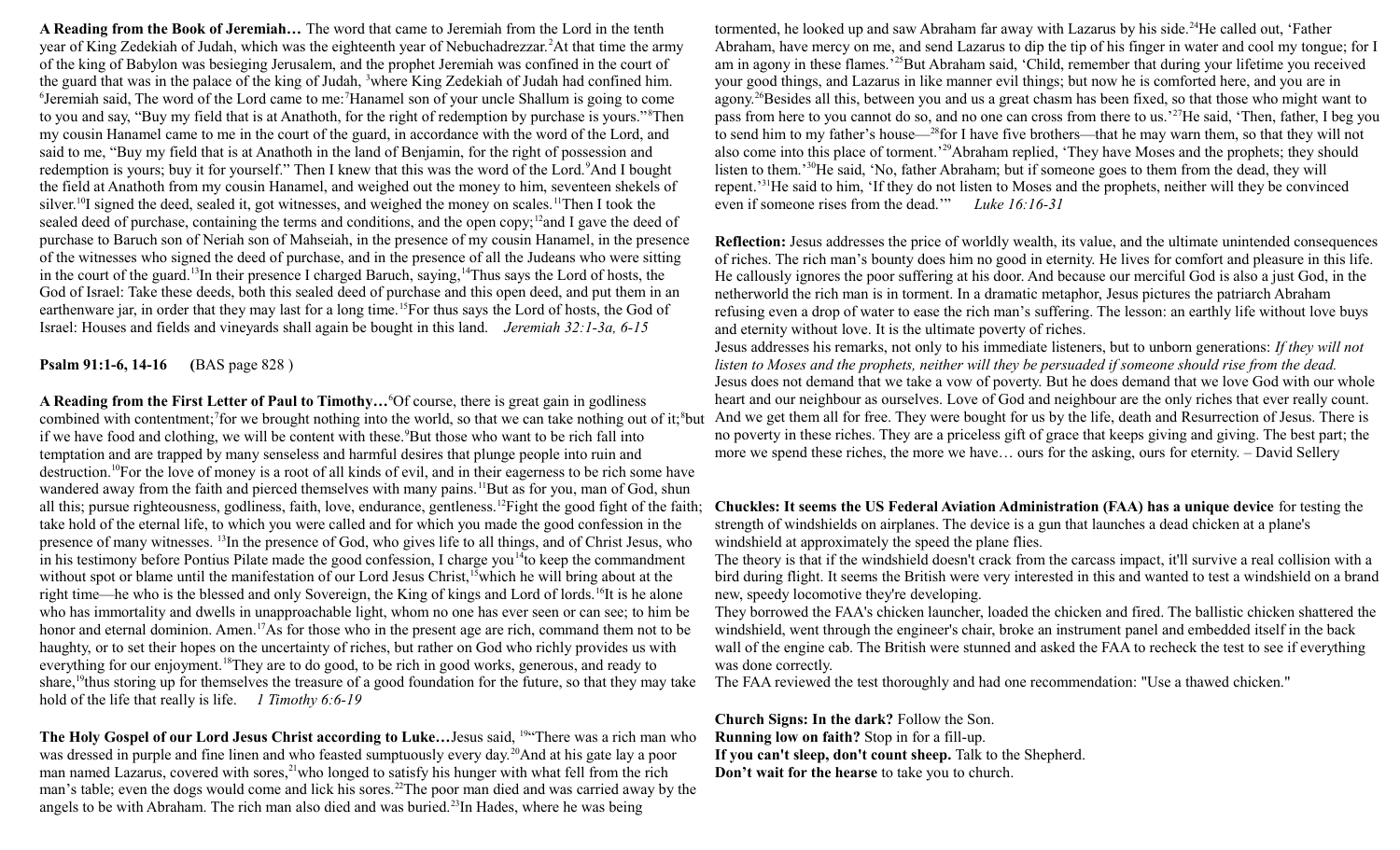**A Reading from the Book of Jeremiah…** The word that came to Jeremiah from the Lord in the tenth year of King Zedekiah of Judah, which was the eighteenth year of Nebuchadrezzar.<sup>2</sup>At that time the army of the king of Babylon was besieging Jerusalem, and the prophet Jeremiah was confined in the court of the guard that was in the palace of the king of Judah, <sup>3</sup>where King Zedekiah of Judah had confined him. <sup>6</sup>Jeremiah said, The word of the Lord came to me:<sup>7</sup>Hanamel son of your uncle Shallum is going to come to you and say, "Buy my field that is at Anathoth, for the right of redemption by purchase is yours."<sup>8</sup>Then my cousin Hanamel came to me in the court of the guard, in accordance with the word of the Lord, and said to me, "Buy my field that is at Anathoth in the land of Benjamin, for the right of possession and redemption is yours; buy it for yourself." Then I knew that this was the word of the Lord. <sup>9</sup>And I bought the field at Anathoth from my cousin Hanamel, and weighed out the money to him, seventeen shekels of silver.<sup>10</sup>I signed the deed, sealed it, got witnesses, and weighed the money on scales.<sup>11</sup>Then I took the sealed deed of purchase, containing the terms and conditions, and the open copy;<sup>12</sup>and I gave the deed of purchase to Baruch son of Neriah son of Mahseiah, in the presence of my cousin Hanamel, in the presence of the witnesses who signed the deed of purchase, and in the presence of all the Judeans who were sitting in the court of the guard.<sup>13</sup>In their presence I charged Baruch, saying,<sup>14</sup>Thus says the Lord of hosts, the God of Israel: Take these deeds, both this sealed deed of purchase and this open deed, and put them in an earthenware jar, in order that they may last for a long time.<sup>15</sup>For thus says the Lord of hosts, the God of Israel: Houses and fields and vineyards shall again be bought in this land. *Jeremiah 32:1-3a, 6-15* 

**Psalm 91:1-6, 14-16 (**BAS page 828 )

**A Reading from the First Letter of Paul to Timothy…**<sup>6</sup>Of course, there is great gain in godliness combined with contentment;<sup>7</sup> for we brought nothing into the world, so that we can take nothing out of it;<sup>8</sup> but if we have food and clothing, we will be content with these.<sup>9</sup>But those who want to be rich fall into temptation and are trapped by many senseless and harmful desires that plunge people into ruin and destruction.<sup>10</sup>For the love of money is a root of all kinds of evil, and in their eagerness to be rich some have wandered away from the faith and pierced themselves with many pains.<sup>11</sup>But as for you, man of God, shun all this; pursue righteousness, godliness, faith, love, endurance, gentleness.<sup>12</sup>Fight the good fight of the faith; take hold of the eternal life, to which you were called and for which you made the good confession in the presence of many witnesses. <sup>13</sup>In the presence of God, who gives life to all things, and of Christ Jesus, who in his testimony before Pontius Pilate made the good confession, I charge you<sup>14</sup>to keep the commandment without spot or blame until the manifestation of our Lord Jesus Christ,<sup>15</sup>which he will bring about at the right time—he who is the blessed and only Sovereign, the King of kings and Lord of lords.<sup>16</sup>It is he alone who has immortality and dwells in unapproachable light, whom no one has ever seen or can see; to him be honor and eternal dominion. Amen.<sup>17</sup>As for those who in the present age are rich, command them not to be haughty, or to set their hopes on the uncertainty of riches, but rather on God who richly provides us with everything for our enjoyment.<sup>18</sup>They are to do good, to be rich in good works, generous, and ready to share,<sup>19</sup>thus storing up for themselves the treasure of a good foundation for the future, so that they may take hold of the life that really is life. *1 Timothy 6:6-19*

**The Holy Gospel of our Lord Jesus Christ according to Luke…**Jesus said, <sup>19</sup>"There was a rich man who was dressed in purple and fine linen and who feasted sumptuously every day.<sup>20</sup>And at his gate lay a poor man named Lazarus, covered with sores,<sup>21</sup>who longed to satisfy his hunger with what fell from the rich man's table; even the dogs would come and lick his sores.<sup>22</sup>The poor man died and was carried away by the angels to be with Abraham. The rich man also died and was buried.<sup>23</sup>In Hades, where he was being

tormented, he looked up and saw Abraham far away with Lazarus by his side.<sup>24</sup>He called out, 'Father Abraham, have mercy on me, and send Lazarus to dip the tip of his finger in water and cool my tongue; for I am in agony in these flames.'<sup>25</sup>But Abraham said, 'Child, remember that during your lifetime you received your good things, and Lazarus in like manner evil things; but now he is comforted here, and you are in agony.<sup>26</sup>Besides all this, between you and us a great chasm has been fixed, so that those who might want to pass from here to you cannot do so, and no one can cross from there to us.'<sup>27</sup>He said, 'Then, father, I beg you to send him to my father's house—<sup>28</sup>for I have five brothers—that he may warn them, so that they will not also come into this place of torment.'<sup>29</sup>Abraham replied, 'They have Moses and the prophets; they should listen to them.'<sup>30</sup>He said, 'No, father Abraham; but if someone goes to them from the dead, they will repent.'<sup>31</sup>He said to him, 'If they do not listen to Moses and the prophets, neither will they be convinced even if someone rises from the dead.'" *Luke 16:16-31*

**Reflection:** Jesus addresses the price of worldly wealth, its value, and the ultimate unintended consequences of riches. The rich man's bounty does him no good in eternity. He lives for comfort and pleasure in this life. He callously ignores the poor suffering at his door. And because our merciful God is also a just God, in the netherworld the rich man is in torment. In a dramatic metaphor, Jesus pictures the patriarch Abraham refusing even a drop of water to ease the rich man's suffering. The lesson: an earthly life without love buys and eternity without love. It is the ultimate poverty of riches.

Jesus addresses his remarks, not only to his immediate listeners, but to unborn generations: *If they will not listen to Moses and the prophets, neither will they be persuaded if someone should rise from the dead.* Jesus does not demand that we take a vow of poverty. But he does demand that we love God with our whole heart and our neighbour as ourselves. Love of God and neighbour are the only riches that ever really count. And we get them all for free. They were bought for us by the life, death and Resurrection of Jesus. There is no poverty in these riches. They are a priceless gift of grace that keeps giving and giving. The best part; the more we spend these riches, the more we have… ours for the asking, ours for eternity. – David Sellery

**Chuckles: It seems the US Federal Aviation Administration (FAA) has a unique device** for testing the strength of windshields on airplanes. The device is a gun that launches a dead chicken at a plane's windshield at approximately the speed the plane flies.

The theory is that if the windshield doesn't crack from the carcass impact, it'll survive a real collision with a bird during flight. It seems the British were very interested in this and wanted to test a windshield on a brand new, speedy locomotive they're developing.

They borrowed the FAA's chicken launcher, loaded the chicken and fired. The ballistic chicken shattered the windshield, went through the engineer's chair, broke an instrument panel and embedded itself in the back wall of the engine cab. The British were stunned and asked the FAA to recheck the test to see if everything was done correctly.

The FAA reviewed the test thoroughly and had one recommendation: "Use a thawed chicken."

**Church Signs: In the dark?** Follow the Son. **Running low on faith?** Stop in for a fill-up. **If you can't sleep, don't count sheep.** Talk to the Shepherd. **Don't wait for the hearse** to take you to church.